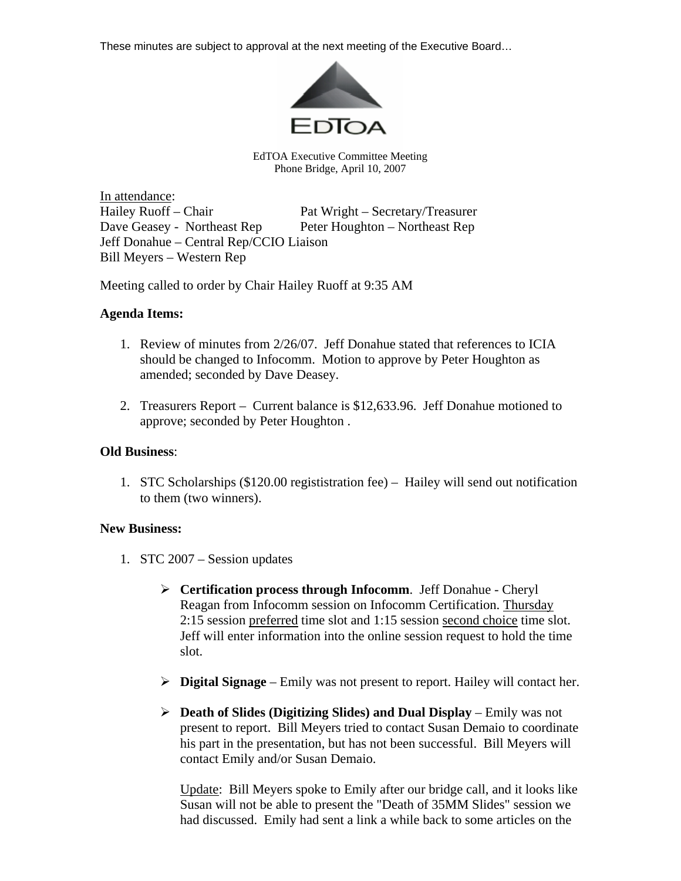These minutes are subject to approval at the next meeting of the Executive Board…



EdTOA Executive Committee Meeting Phone Bridge, April 10, 2007

In attendance: Hailey Ruoff – Chair Pat Wright – Secretary/Treasurer Dave Geasey - Northeast Rep Peter Houghton – Northeast Rep Jeff Donahue – Central Rep/CCIO Liaison Bill Meyers – Western Rep

Meeting called to order by Chair Hailey Ruoff at 9:35 AM

## **Agenda Items:**

- 1. Review of minutes from 2/26/07. Jeff Donahue stated that references to ICIA should be changed to Infocomm. Motion to approve by Peter Houghton as amended; seconded by Dave Deasey.
- 2. Treasurers Report Current balance is \$12,633.96. Jeff Donahue motioned to approve; seconded by Peter Houghton .

## **Old Business**:

1. STC Scholarships (\$120.00 regististration fee) – Hailey will send out notification to them (two winners).

## **New Business:**

- 1. STC 2007 Session updates
	- ¾ **Certification process through Infocomm**. Jeff Donahue Cheryl Reagan from Infocomm session on Infocomm Certification. Thursday 2:15 session preferred time slot and 1:15 session second choice time slot. Jeff will enter information into the online session request to hold the time slot.
	- ¾ **Digital Signage** Emily was not present to report. Hailey will contact her.
	- ¾ **Death of Slides (Digitizing Slides) and Dual Display** Emily was not present to report. Bill Meyers tried to contact Susan Demaio to coordinate his part in the presentation, but has not been successful. Bill Meyers will contact Emily and/or Susan Demaio.

Update: Bill Meyers spoke to Emily after our bridge call, and it looks like Susan will not be able to present the "Death of 35MM Slides" session we had discussed. Emily had sent a link a while back to some articles on the